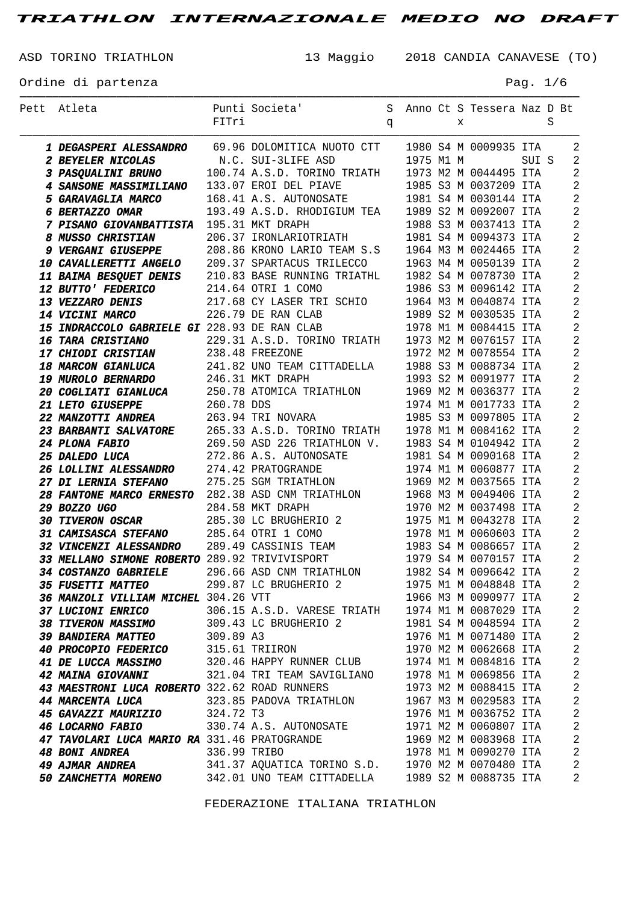ASD TORINO TRIATHLON 13 Maggio 2018 CANDIA CANAVESE (TO)

Ordine di partenza

| Раα | n |  |
|-----|---|--|
|-----|---|--|

| Pett Atleta                                                                                                                                                                                                                                                                                                                                                                    |              | Punti Societa'                                    |   |  |   | S Anno Ct S Tessera Naz D Bt                   |   |                            |
|--------------------------------------------------------------------------------------------------------------------------------------------------------------------------------------------------------------------------------------------------------------------------------------------------------------------------------------------------------------------------------|--------------|---------------------------------------------------|---|--|---|------------------------------------------------|---|----------------------------|
|                                                                                                                                                                                                                                                                                                                                                                                | FITri        |                                                   | q |  | X |                                                | S |                            |
|                                                                                                                                                                                                                                                                                                                                                                                |              |                                                   |   |  |   |                                                |   | 2                          |
| 1 DEGASPERI ALESSANDRO 69.96 DOLOMITICA NUOTO CTT 1980 S4 M 0009935 ITA<br><b>1 DEGASPERI ALESSANDRO</b><br><b>2 BEYELER NICOLAS</b><br><b>3 PASQUALINI BRUNO</b><br><b>4 SANSONE MASSIMILIANO</b><br><b>100.74 A.S.D. TORINO TRIATH</b><br><b>1973 M2 M 0044495 ITA<br/> <b>4 SANSONE MASSIMILIANO</b><br/> <b>133.07 EROI DEL PIAVE</b><br/> <b>1985 S3 M 0037209 IT</b></b> |              |                                                   |   |  |   |                                                |   | $\overline{2}$             |
|                                                                                                                                                                                                                                                                                                                                                                                |              |                                                   |   |  |   |                                                |   | $\overline{2}$             |
|                                                                                                                                                                                                                                                                                                                                                                                |              |                                                   |   |  |   |                                                |   | $\overline{2}$             |
|                                                                                                                                                                                                                                                                                                                                                                                |              |                                                   |   |  |   |                                                |   | $\overline{2}$             |
| 6 BERTAZZO OMAR                                                                                                                                                                                                                                                                                                                                                                |              | 193.49 A.S.D. RHODIGIUM TEA 1989 S2 M 0092007 ITA |   |  |   |                                                |   | $\overline{2}$             |
|                                                                                                                                                                                                                                                                                                                                                                                |              |                                                   |   |  |   |                                                |   | $\overline{2}$             |
| EXECUTE 195.31 MKT DRAPH<br><b>8 MUSSO CHRISTIAN</b> 206.37 IRONLARIOTRIATH 1988 S3 M 0037413 ITA<br><b>9 VERGANI GIUSEPPE</b> 208.86 KRONO LARIO TEAM S.S 1964 M3 M 0024465 ITA<br><b>10 CAVALLERETTI ANGELO</b> 209.37 SPARTACUS TRILECCO 1963 M4                                                                                                                            |              |                                                   |   |  |   |                                                |   | $\overline{2}$             |
|                                                                                                                                                                                                                                                                                                                                                                                |              |                                                   |   |  |   |                                                |   | $\overline{2}$             |
|                                                                                                                                                                                                                                                                                                                                                                                |              |                                                   |   |  |   |                                                |   | $\overline{2}$             |
|                                                                                                                                                                                                                                                                                                                                                                                |              |                                                   |   |  |   |                                                |   | $\overline{2}$             |
| <b>12 BUTTO' FEDERICO</b>                                                                                                                                                                                                                                                                                                                                                      |              | 214.64 OTRI 1 COMO                                |   |  |   | 1986 S3 M 0096142 ITA                          |   | $\overline{2}$             |
| <b>13 VEZZARO DENIS</b>                                                                                                                                                                                                                                                                                                                                                        |              | 217.68 CY LASER TRI SCHIO 1964 M3 M 0040874 ITA   |   |  |   |                                                |   | $\overline{2}$             |
| <b>14 VICINI MARCO</b>                                                                                                                                                                                                                                                                                                                                                         |              | 226.79 DE RAN CLAB                                |   |  |   |                                                |   | $\overline{2}$             |
| 15 INDRACCOLO GABRIELE GI 228.93 DE RAN CLAB                                                                                                                                                                                                                                                                                                                                   |              |                                                   |   |  |   | 1989 S2 M 0030535 ITA<br>1978 M1 M 0084415 ITA |   | $\overline{2}$             |
| <b>16 TARA CRISTIANO</b>                                                                                                                                                                                                                                                                                                                                                       |              | 229.31 A.S.D. TORINO TRIATH 1973 M2 M 0076157 ITA |   |  |   |                                                |   | $\overline{2}$             |
| <b>17 CHIODI CRISTIAN</b>                                                                                                                                                                                                                                                                                                                                                      |              | 238.48 FREEZONE                                   |   |  |   | 1972 M2 M 0078554 ITA                          |   | $\overline{2}$             |
| <b>18 MARCON GIANLUCA</b>                                                                                                                                                                                                                                                                                                                                                      |              | 241.82 UNO TEAM CITTADELLA 1988 S3 M 0088734 ITA  |   |  |   |                                                |   | $\overline{2}$             |
| <b>19 MUROLO BERNARDO</b>                                                                                                                                                                                                                                                                                                                                                      |              | 246.31 MKT DRAPH                                  |   |  |   | 1993 S2 M 0091977 ITA                          |   | $\overline{2}$             |
| <i><b>20 COGLIATI GIANLUCA</b></i>                                                                                                                                                                                                                                                                                                                                             |              | 250.78 ATOMICA TRIATHLON 1969 M2 M 0036377 ITA    |   |  |   |                                                |   | $\overline{2}$             |
|                                                                                                                                                                                                                                                                                                                                                                                |              |                                                   |   |  |   |                                                |   | $\overline{2}$             |
|                                                                                                                                                                                                                                                                                                                                                                                |              |                                                   |   |  |   |                                                |   | $\overline{2}$             |
|                                                                                                                                                                                                                                                                                                                                                                                |              |                                                   |   |  |   |                                                |   | $\overline{2}$             |
| 20 COGLIATI GIANLUCA<br>21 LETO GIUSEPPE<br>260.78 DDS<br>263.94 TRI NOVARA<br>265.33 A.S.D. TORINO TRIATH 1978 M1 M 0084162 ITA<br>24 PLONA FABIO<br>269.50 ASD 226 TRIATHLON V. 1983 S4 M 0104942 ITA<br>25 DALEDO LUCA<br>272.86 A.S. AUTON                                                                                                                                 |              |                                                   |   |  |   |                                                |   | $\overline{2}$             |
|                                                                                                                                                                                                                                                                                                                                                                                |              |                                                   |   |  |   |                                                |   | $\overline{2}$             |
| <b>26 LOLLINI ALESSANDRO</b> 274.42 PRATOGRANDE                                                                                                                                                                                                                                                                                                                                |              |                                                   |   |  |   | 1974 M1 M 0060877 ITA                          |   | $\overline{2}$             |
| 27 DI LERNIA STEFANO 275.25 SGM TRIATHLON                                                                                                                                                                                                                                                                                                                                      |              |                                                   |   |  |   | 1969 M2 M 0037565 ITA                          |   | $\overline{2}$             |
| 28 FANTONE MARCO ERNESTO 282.38 ASD CNM TRIATHLON 1968 M3 M 0049406 ITA                                                                                                                                                                                                                                                                                                        |              |                                                   |   |  |   |                                                |   | $\overline{2}$             |
| 29 BOZZO UGO                                                                                                                                                                                                                                                                                                                                                                   |              | 284.58 MKT DRAPH                                  |   |  |   | 1970 M2 M 0037498 ITA                          |   | $\overline{2}$             |
| <b>30 TIVERON OSCAR</b>                                                                                                                                                                                                                                                                                                                                                        |              | 285.30 LC BRUGHERIO 2 1975 M1 M 0043278 ITA       |   |  |   |                                                |   | $\overline{2}$             |
| 31 CAMISASCA STEFANO 285.64 OTRI 1 COMO                                                                                                                                                                                                                                                                                                                                        |              |                                                   |   |  |   | 1978 M1 M 0060603 ITA                          |   | $\overline{2}$             |
|                                                                                                                                                                                                                                                                                                                                                                                |              |                                                   |   |  |   |                                                |   | $\overline{2}$             |
| 32 VINCENZI ALESSANDRO 289.49 CASSINIS TEAM 1983 S4 M 0086657 ITA<br>33 MELLANO SIMONE ROBERTO 289.92 TRIVIVISPORT 1979 S4 M 0070157 ITA                                                                                                                                                                                                                                       |              |                                                   |   |  |   |                                                |   | $\overline{2}$             |
| 34 COSTANZO GABRIELE 296.66 ASD CNM TRIATHLON 1982 S4 M 0096642 ITA                                                                                                                                                                                                                                                                                                            |              |                                                   |   |  |   |                                                |   | $\overline{\phantom{0}}$ 2 |
| 35 FUSETTI MATTEO 299.87 LC BRUGHERIO 2 1975 M1 M 0048848 ITA                                                                                                                                                                                                                                                                                                                  |              |                                                   |   |  |   |                                                |   | 2                          |
| 36 MANZOLI VILLIAM MICHEL 304.26 VTT                                                                                                                                                                                                                                                                                                                                           |              |                                                   |   |  |   | 1966 M3 M 0090977 ITA                          |   | 2                          |
| <i><b>37 LUCIONI ENRICO</b></i>                                                                                                                                                                                                                                                                                                                                                |              | 306.15 A.S.D. VARESE TRIATH 1974 M1 M 0087029 ITA |   |  |   |                                                |   | $\sqrt{2}$                 |
| <b>38 TIVERON MASSIMO</b>                                                                                                                                                                                                                                                                                                                                                      |              | 309.43 LC BRUGHERIO 2 1981 S4 M 0048594 ITA       |   |  |   |                                                |   | $\overline{2}$             |
| <i><b>39 BANDIERA MATTEO</b></i>                                                                                                                                                                                                                                                                                                                                               | 309.89 A3    |                                                   |   |  |   | 1976 M1 M 0071480 ITA                          |   | $\sqrt{2}$                 |
| <b>40 PROCOPIO FEDERICO</b>                                                                                                                                                                                                                                                                                                                                                    |              | 315.61 TRIIRON                                    |   |  |   | 1970 M2 M 0062668 ITA                          |   | $\overline{2}$             |
| <i><b>41 DE LUCCA MASSIMO</b></i>                                                                                                                                                                                                                                                                                                                                              |              | 320.46 HAPPY RUNNER CLUB 1974 M1 M 0084816 ITA    |   |  |   |                                                |   | $\sqrt{2}$                 |
| 42 MAINA GIOVANNI 610 321.04 TRI TEAM SAVIGLIANO 1978 M1 M 0069856 ITA                                                                                                                                                                                                                                                                                                         |              |                                                   |   |  |   |                                                |   | $\overline{2}$             |
| 43 MAESTRONI LUCA ROBERTO 322.62 ROAD RUNNERS 1973 M2 M 0088415 ITA                                                                                                                                                                                                                                                                                                            |              |                                                   |   |  |   |                                                |   | $\sqrt{2}$                 |
| <b>44 MARCENTA LUCA</b>                                                                                                                                                                                                                                                                                                                                                        |              | 323.85 PADOVA TRIATHLON 1967 M3 M 0029583 ITA     |   |  |   |                                                |   | $\overline{2}$             |
| <b>45 GAVAZZI MAURIZIO</b>                                                                                                                                                                                                                                                                                                                                                     | 324.72 T3    |                                                   |   |  |   | 1976 M1 M 0036752 ITA                          |   | $\sqrt{2}$                 |
| <b>45 GAVAZZI MAURIZIO</b> 324.72 T3<br><b>46 LOCARNO FABIO</b> 330.74 A.S. AUTONOSATE 1971 M2 M 0060807 ITA                                                                                                                                                                                                                                                                   |              |                                                   |   |  |   |                                                |   | $\sqrt{2}$                 |
| 47 TAVOLARI LUCA MARIO RA 331.46 PRATOGRANDE                                                                                                                                                                                                                                                                                                                                   |              |                                                   |   |  |   | 1969 M2 M 0083968 ITA                          |   | $\overline{2}$             |
| <b>48 BONI ANDREA</b>                                                                                                                                                                                                                                                                                                                                                          | 336.99 TRIBO |                                                   |   |  |   | 1978 M1 M 0090270 ITA                          |   | $\sqrt{2}$                 |
| <b>49 AJMAR ANDREA</b>                                                                                                                                                                                                                                                                                                                                                         |              | 341.37 AQUATICA TORINO S.D. 1970 M2 M 0070480 ITA |   |  |   |                                                |   | $\overline{2}$             |
| 50 ZANCHETTA MORENO 342.01 UNO TEAM CITTADELLA 1989 S2 M 0088735 ITA                                                                                                                                                                                                                                                                                                           |              |                                                   |   |  |   |                                                |   | $\overline{2}$             |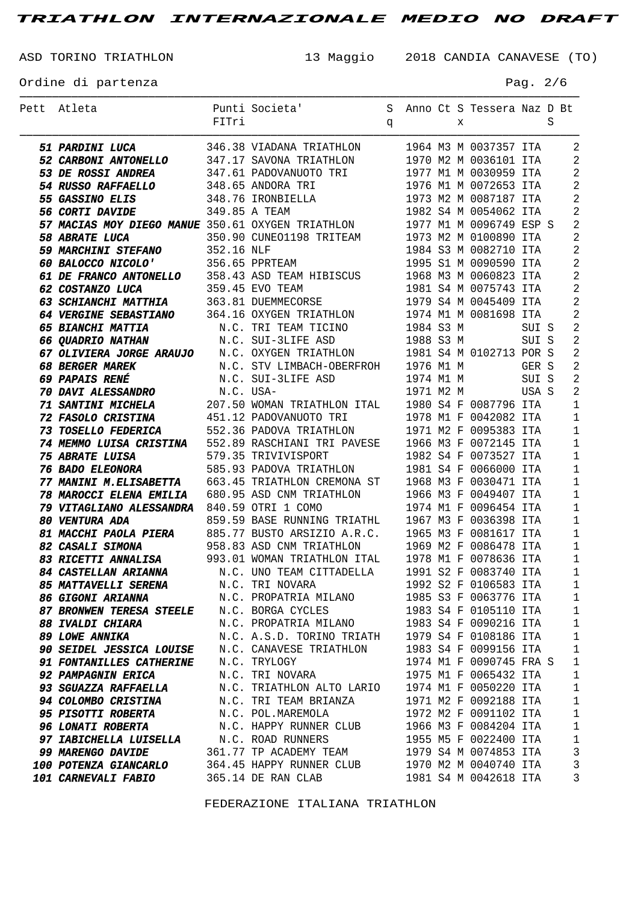ASD TORINO TRIATHLON 13 Maggio 2018 CANDIA CANAVESE (TO)

Ordine di partenza  $P$ ag. 2/6

| Pett Atleta                                                                                                                                                                                                                                                 |       | Punti Societa' S Anno Ct S Tessera Naz D Bt     |  |   |                         |       |   |                                  |
|-------------------------------------------------------------------------------------------------------------------------------------------------------------------------------------------------------------------------------------------------------------|-------|-------------------------------------------------|--|---|-------------------------|-------|---|----------------------------------|
|                                                                                                                                                                                                                                                             | FITri | <b>g</b>                                        |  | X |                         |       | S |                                  |
|                                                                                                                                                                                                                                                             |       |                                                 |  |   |                         |       |   |                                  |
| <b>51 PARDINI LUCA</b> 346.38 VIADANA TRIATHLON 1964 M3 M 0037357 ITA<br><b>52 CARBONI ANTONELLO</b> 347.17 SAVONA TRIATHLON 1970 M2 M 0036101 ITA<br><b>53 DE ROSSI ANDREA</b> 347.61 PADOVANUOTO TRI 1977 M1 M 0030959 ITA<br><b>54 RUSSO RAFFAELLO</b>   |       |                                                 |  |   |                         |       |   | $\overline{2}$<br>$\overline{2}$ |
|                                                                                                                                                                                                                                                             |       |                                                 |  |   |                         |       |   | $\overline{c}$                   |
|                                                                                                                                                                                                                                                             |       |                                                 |  |   |                         |       |   | $\overline{c}$                   |
|                                                                                                                                                                                                                                                             |       |                                                 |  |   |                         |       |   | $\overline{2}$                   |
|                                                                                                                                                                                                                                                             |       |                                                 |  |   |                         |       |   | $\overline{2}$                   |
|                                                                                                                                                                                                                                                             |       |                                                 |  |   |                         |       |   |                                  |
| <b>57 MACIAS MOY DIEGO MANUE</b> 350.61 OXYGEN TRIATHLON 1977 M1 M 0096749 ESP S<br><b>58 ABRATE LUCA</b> 350.90 CUNEO1198 TRITEAM 1973 M2 M 0100890 ITA                                                                                                    |       |                                                 |  |   |                         |       |   | $\overline{2}$                   |
|                                                                                                                                                                                                                                                             |       |                                                 |  |   |                         |       |   | $\overline{2}$                   |
| <b>59 MARCHINI STEFANO</b> 352.16 NLF 1984 S3 M 0082710 ITA<br><b>60 BALOCCO NICOLO'</b> 356.65 PPRTEAM 1995 S1 M 0090590 ITA<br><b>61 DE FRANCO ANTONELLO</b> 358.43 ASD TEAM HIBISCUS 1968 M3 M 0060823 ITA                                               |       |                                                 |  |   |                         |       |   | $\overline{2}$<br>$\overline{2}$ |
|                                                                                                                                                                                                                                                             |       |                                                 |  |   |                         |       |   | $\overline{2}$                   |
|                                                                                                                                                                                                                                                             |       |                                                 |  |   |                         |       |   | $\overline{2}$                   |
|                                                                                                                                                                                                                                                             |       |                                                 |  |   |                         |       |   |                                  |
| <b>62 COSTANZO LUCA</b> 359.45 EVO TEAM 1981 S4 M 0075743 ITA<br><b>63 SCHIANCHI MATTHIA</b> 363.81 DUEMMECORSE 1979 S4 M 0045409 ITA<br><b>64 VERGINE SEBASTIANO</b> 364.16 OXYGEN TRIATHLON 1974 M1 M 0081698 ITA                                         |       |                                                 |  |   |                         |       |   | $\overline{2}$                   |
|                                                                                                                                                                                                                                                             |       |                                                 |  |   |                         |       |   | $\overline{2}$                   |
|                                                                                                                                                                                                                                                             |       |                                                 |  |   |                         |       |   | $\overline{2}$                   |
| <b>65 BIANCHI MATTIA</b> M.C. TRI TEAM TICINO 1984 S3 M SUI S<br><b>66 QUADRIO NATHAN</b> N.C. SUI-3LIFE ASD 1988 S3 M SUI S<br><b>67 OLIVIERA JORGE ARAUJO</b> N.C. OXYGEN TRIATHLON 1981 S4 M 0102713 POR S                                               |       |                                                 |  |   |                         |       |   | $\overline{2}$                   |
|                                                                                                                                                                                                                                                             |       |                                                 |  |   |                         |       |   | $\overline{2}$                   |
| <b>68 BERGER MAREK</b>                                                                                                                                                                                                                                      |       | N.C. STV LIMBACH-OBERFROH 1976 M1 M             |  |   |                         | GER S |   | $\overline{2}$                   |
| 69 PAPAIS RENÉ                                                                                                                                                                                                                                              |       | N.C. SUI-3LIFE ASD 1974 M1 M                    |  |   |                         | SUI S |   | $\overline{2}$<br>$\overline{2}$ |
| <b>70 DAVI ALESSANDRO</b> N.C. USA-<br><b>71 SANTINI MICHELA</b> 207.50 WOMAN TRIATHLON ITAL 1980 S4 F 0087796 ITA                                                                                                                                          |       |                                                 |  |   | 1971 M2 M USA S         |       |   | $\mathbf{1}$                     |
|                                                                                                                                                                                                                                                             |       |                                                 |  |   |                         |       |   |                                  |
|                                                                                                                                                                                                                                                             |       |                                                 |  |   |                         |       |   | $1\,$<br>$\mathbf{1}$            |
| <b>72 FASOLO CRISTINA</b><br><b>73 TOSELLO FEDERICA</b> 552.36 PADOVANUOTO TRI 1978 M1 F 0042082 ITA<br><b>74 MEMMO LUISA CRISTINA</b> 552.89 RASCHIANI TRI PAVESE 1966 M3 F 0072145 ITA<br><b>74 MEMMO LUISA CRISTINA</b> 552.89 RASCHIANI TRI PAVESE 1966 |       |                                                 |  |   |                         |       |   | $\mathbf{1}$                     |
| 579.35 TRIVIVISPORT 1982 S4 F 0073527 ITA<br><b>76 BADO ELEONORA</b> 585.93 PADOVA TRIATHLON 1981 S4 F 0066000 ITA<br><b>77 MANINI M.ELISABETTA</b> 663.45 TRIATHLON CREMONA ST 1968 M3 F 0030471 ITA<br><b>78 MAROCCI ELENA EMILIA</b> 680.95 ASD          |       |                                                 |  |   |                         |       |   | $\mathbf{1}$                     |
|                                                                                                                                                                                                                                                             |       |                                                 |  |   |                         |       |   | $\mathbf{1}$                     |
|                                                                                                                                                                                                                                                             |       |                                                 |  |   |                         |       |   | $\mathbf{1}$                     |
|                                                                                                                                                                                                                                                             |       |                                                 |  |   |                         |       |   | $\mathbf{1}$                     |
| 78 MAROCCI ELENA EMILIA 680.95 ASD CNM TRIATHLON 1966 M3 F 0049407 ITA<br>79 VITAGLIANO ALESSANDRA 840.59 OTRI 1 COMO                                                                                                                                       |       |                                                 |  |   |                         |       |   | $\mathbf{1}$                     |
| 80 VENTURA ADA                                                                                                                                                                                                                                              |       |                                                 |  |   |                         |       |   | $\mathbf{1}$                     |
|                                                                                                                                                                                                                                                             |       |                                                 |  |   |                         |       |   |                                  |
| 81 MACCHI PAOLA PIERA 885.77 BUSTO ARSIZIO A.R.C. 1965 M3 F 0081617 ITA 1                                                                                                                                                                                   |       |                                                 |  |   |                         |       |   |                                  |
| 82 CASALI SIMONA 358.83 ASD CNM TRIATHLON 3969 M2 F 0086478 ITA 1<br>33 RICETTI ANNALISA 393.01 WOMAN TRIATHLON ITAL 3978 M1 F 0078636 ITA 1                                                                                                                |       |                                                 |  |   |                         |       |   |                                  |
| <b>84 CASTELLAN ARIANNA</b>                                                                                                                                                                                                                                 |       | N.C. UNO TEAM CITTADELLA 1991 S2 F 0083740 ITA  |  |   |                         |       |   | $\overline{1}$                   |
| 85 MATTAVELLI SERENA N.C. TRI NOVARA                                                                                                                                                                                                                        |       |                                                 |  |   | 1992 S2 F 0106583 ITA   |       |   | $\overline{\phantom{0}}$         |
| <b>85 MATTAVELLI SERENA</b> M.C. IRI NOVARA (1992 S2 F 0100903 11A<br><b>86 GIGONI ARIANNA</b> (N.C. PROPATRIA MILANO (1985 S3 F 0063776 ITA                                                                                                                |       |                                                 |  |   |                         |       |   | $\overline{\phantom{a}}$         |
| 87 BRONWEN TERESA STEELE N.C. BORGA CYCLES                                                                                                                                                                                                                  |       |                                                 |  |   | 1983 S4 F 0105110 ITA   |       |   | $\mathbf{1}$                     |
| <b>88 IVALDI CHIARA</b>                                                                                                                                                                                                                                     |       |                                                 |  |   |                         |       |   | $\mathbf{1}$                     |
| <i><b>89 LOWE ANNIKA</b></i>                                                                                                                                                                                                                                |       |                                                 |  |   |                         |       |   | $\overline{\phantom{a}}$         |
| 90 SEIDEL JESSICA LOUISE N.C. CANAVESE TRIATHLON 1983 S4 F 0099156 ITA                                                                                                                                                                                      |       |                                                 |  |   |                         |       |   | $\mathbf{1}$                     |
| 91 FONTANILLES CATHERINE N.C. TRYLOGY                                                                                                                                                                                                                       |       |                                                 |  |   | 1974 M1 F 0090745 FRA S |       |   | $\mathbf{1}$                     |
| <b>92 PAMPAGNIN ERICA</b>                                                                                                                                                                                                                                   |       | N.C. TRI NOVARA<br>N.C. TRI NOVARA              |  |   | 1975 M1 F 0065432 ITA   |       |   | $\mathbf{1}$                     |
| <b>93 SGUAZZA RAFFAELLA</b>                                                                                                                                                                                                                                 |       | N.C. TRIATHLON ALTO LARIO 1974 M1 F 0050220 ITA |  |   |                         |       |   | $\mathbf{1}$                     |
| 94 COLOMBO CRISTINA M.C. TRI TEAM BRIANZA 1971 M2 F 0092188 ITA                                                                                                                                                                                             |       |                                                 |  |   |                         |       |   | $\mathbf{1}$                     |
| 95 PISOTTI ROBERTA N.C. POL.MAREMOLA 1972 M2 F 0091102 ITA                                                                                                                                                                                                  |       |                                                 |  |   |                         |       |   | $\mathbf{1}$                     |
|                                                                                                                                                                                                                                                             |       |                                                 |  |   |                         |       |   | $\mathbf{1}$                     |
| <b>96 LONATI ROBERTA</b> M.C. HAPPY RUNNER CLUB 1966 M3 F 0084204 ITA<br><b>97 IABICHELLA LUISELLA</b> M.C. ROAD RUNNERS 1955 M5 F 0022400 ITA                                                                                                              |       |                                                 |  |   |                         |       |   | $\mathbf{1}$                     |
| 99 MARENGO DAVIDE 361.77 TP ACADEMY TEAM 1979 S4 M 0074853 ITA                                                                                                                                                                                              |       |                                                 |  |   |                         |       |   | $\overline{3}$                   |
| 100 POTENZA GIANCARLO 364.45 HAPPY RUNNER CLUB 1970 M2 M 0040740 ITA                                                                                                                                                                                        |       |                                                 |  |   |                         |       |   | $\overline{3}$                   |
| 101 CARNEVALI FABIO 365.14 DE RAN CLAB                                                                                                                                                                                                                      |       |                                                 |  |   | 1981 S4 M 0042618 ITA   |       |   | $\overline{3}$                   |
|                                                                                                                                                                                                                                                             |       |                                                 |  |   |                         |       |   |                                  |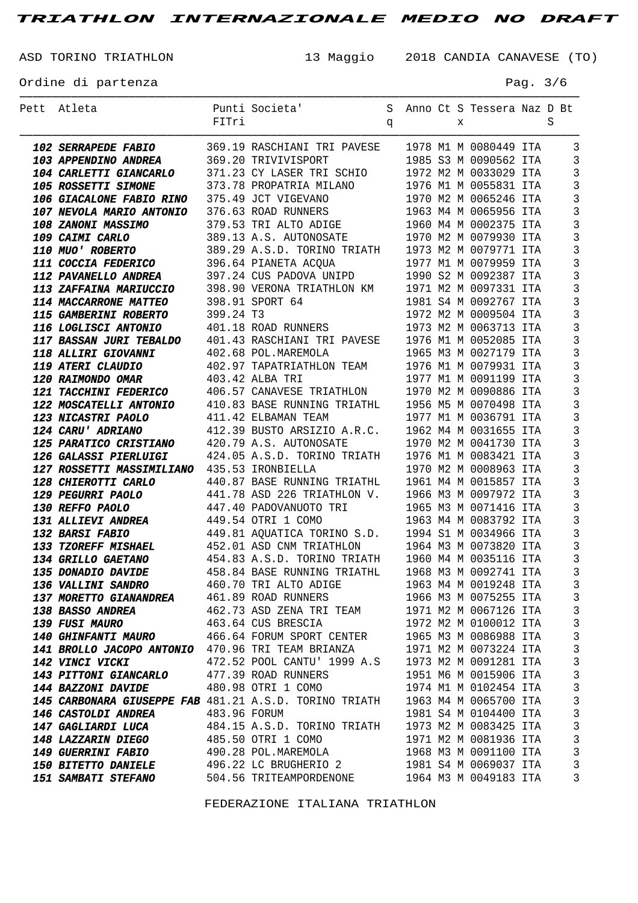ASD TORINO TRIATHLON 13 Maggio 2018 CANDIA CANAVESE (TO)

Ordine di partenza  $P$ ag. 3/6

| Pett Atleta                                                                  |              | Punti Societa'                                                                                      |   |  |   | S Anno Ct S Tessera Naz D Bt |   |                              |
|------------------------------------------------------------------------------|--------------|-----------------------------------------------------------------------------------------------------|---|--|---|------------------------------|---|------------------------------|
|                                                                              | FITri        |                                                                                                     | q |  | X |                              | S |                              |
|                                                                              |              |                                                                                                     |   |  |   |                              |   |                              |
| <b>102 SERRAPEDE FABIO</b>                                                   |              | 369.19 RASCHIANI TRI PAVESE 1978 M1 M 0080449 ITA                                                   |   |  |   |                              |   | $\overline{3}$               |
| <b>103 APPENDINO ANDREA</b>                                                  |              | 369.20 TRIVIVISPORT                                                                                 |   |  |   | 1985 S3 M 0090562 ITA        |   | 3                            |
| <b>104 CARLETTI GIANCARLO</b>                                                |              | 371.23 CY LASER TRI SCHIO 1972 M2 M 0033029 ITA                                                     |   |  |   |                              |   | 3                            |
| 105 ROSSETTI SIMONE                                                          |              | 373.78 PROPATRIA MILANO 1976 M1 M 0055831 ITA                                                       |   |  |   |                              |   | 3                            |
| <b>106 GIACALONE FABIO RINO</b>                                              |              | 375.49 JCT VIGEVANO                                                                                 |   |  |   | 1970 M2 M 0065246 ITA        |   | 3                            |
| <b>107 NEVOLA MARIO ANTONIO</b>                                              |              | 376.63 ROAD RUNNERS                                                                                 |   |  |   | 1963 M4 M 0065956 ITA        |   | 3                            |
| 108 ZANONI MASSIMO                                                           |              | 379.53 TRI ALTO ADIGE                                                                               |   |  |   | 1960 M4 M 0002375 ITA        |   | $\mathbf{3}$                 |
| 109 CAIMI CARLO                                                              |              | 389.13 A.S. AUTONOSATE                                                                              |   |  |   | 1970 M2 M 0079930 ITA        |   | 3                            |
| <b>110 MUO' ROBERTO</b>                                                      |              | 389.29 A.S.D. TORINO TRIATH 1973 M2 M 0079771 ITA                                                   |   |  |   |                              |   | $\mathbf{3}$                 |
| <b>111 COCCIA FEDERICO</b>                                                   |              | 396.64 PIANETA ACQUA 1977 M1 M 0079959 ITA<br>397.24 CUS PADOVA UNIPD 1990 S2 M 0092387 ITA         |   |  |   |                              |   | 3                            |
| <b>112 PAVANELLO ANDREA</b>                                                  |              |                                                                                                     |   |  |   |                              |   | $\mathbf{3}$                 |
| <b>113 ZAFFAINA MARIUCCIO</b>                                                |              | 398.90 VERONA TRIATHLON KM 1971 M2 M 0097331 ITA                                                    |   |  |   |                              |   | 3                            |
| <b>114 MACCARRONE MATTEO</b>                                                 |              | 398.91 SPORT 64                                                                                     |   |  |   | 1981 S4 M 0092767 ITA        |   | $\mathbf{3}$                 |
| <b>115 GAMBERINI ROBERTO</b>                                                 | 399.24 T3    |                                                                                                     |   |  |   | 1972 M2 M 0009504 ITA        |   | 3                            |
| <b>116 LOGLISCI ANTONIO</b>                                                  |              | 401.18 ROAD RUNNERS                                                                                 |   |  |   | 1973 M2 M 0063713 ITA        |   | $\mathbf{3}$                 |
| <b>117 BASSAN JURI TEBALDO</b>                                               |              | 401.43 RASCHIANI TRI PAVESE 1976 M1 M 0052085 ITA                                                   |   |  |   |                              |   | 3                            |
| 118 ALLIRI GIOVANNI                                                          |              | 402.68 POL.MAREMOLA                                                                                 |   |  |   | 1965 M3 M 0027179 ITA        |   | $\mathbf{3}$                 |
| 119 ATERI CLAUDIO                                                            |              | 402.97 TAPATRIATHLON TEAM 1976 M1 M 0079931 ITA                                                     |   |  |   |                              |   | 3                            |
| 120 RAIMONDO OMAR                                                            |              | 403.42 ALBA TRI                                                                                     |   |  |   | 1977 M1 M 0091199 ITA        |   | $\mathbf{3}$                 |
| <b>121 TACCHINI FEDERICO</b>                                                 |              | 406.57 CANAVESE TRIATHLON 1970 M2 M 0090886 ITA                                                     |   |  |   |                              |   | 3                            |
| <b>122 MOSCATELLI ANTONIO</b>                                                |              | 410.83 BASE RUNNING TRIATHL 1956 M5 M 0070498 ITA                                                   |   |  |   |                              |   | 3                            |
| <b>123 NICASTRI PAOLO</b>                                                    |              | 411.42 ELBAMAN TEAM                                                                                 |   |  |   | 1977 M1 M 0036791 ITA        |   | 3                            |
| 124 CARU' ADRIANO                                                            |              | 412.39 BUSTO ARSIZIO A.R.C. 1962 M4 M 0031655 ITA                                                   |   |  |   |                              |   | 3                            |
| 125 PARATICO CRISTIANO 420.79 A.S. AUTONOSATE                                |              |                                                                                                     |   |  |   | 1970 M2 M 0041730 ITA        |   | 3                            |
| <b>126 GALASSI PIERLUIGI</b>                                                 |              | 424.05 A.S.D. TORINO TRIATH 1976 M1 M 0083421 ITA                                                   |   |  |   |                              |   | 3                            |
| 127 ROSSETTI MASSIMILIANO 435.53 IRONBIELLA                                  |              |                                                                                                     |   |  |   | 1970 M2 M 0008963 ITA        |   | 3                            |
| 128 CHIEROTTI CARLO                                                          |              | 440.87 BASE RUNNING TRIATHL 1961 M4 M 0015857 ITA                                                   |   |  |   |                              |   | $\mathbf{3}$                 |
| 129 PEGURRI PAOLO                                                            |              | 441.78 ASD 226 TRIATHLON V. 1966 M3 M 0097972 ITA                                                   |   |  |   |                              |   | 3                            |
| 130 REFFO PAOLO                                                              |              | 447.40 PADOVANUOTO TRI 1965 M3 M 0071416 ITA                                                        |   |  |   |                              |   | $\mathbf{3}$                 |
| <b>131 ALLIEVI ANDREA</b>                                                    |              | 449.54 OTRI 1 COMO                                                                                  |   |  |   | 1963 M4 M 0083792 ITA        |   | 3                            |
| 132 BARSI FABIO                                                              |              | 449.81 AQUATICA TORINO S.D. 1994 S1 M 0034966 ITA                                                   |   |  |   |                              |   | $\mathbf{3}$                 |
| <b>133 TZOREFF MISHAEL</b>                                                   |              | 452.01 ASD CNM TRIATHLON 1964 M3 M 0073820 ITA<br>454.83 A.S.D. TORINO TRIATH 1960 M4 M 0035116 ITA |   |  |   |                              |   | $\overline{3}$               |
| 134 GRILLO GAETANO                                                           |              |                                                                                                     |   |  |   |                              |   | $\overline{3}$               |
| <b>135 DONADIO DAVIDE</b>                                                    |              | 458.84 BASE RUNNING TRIATHL 1968 M3 M 0092741 ITA                                                   |   |  |   |                              |   | $\overline{\mathbf{3}}$      |
| <b>136 VALLINI SANDRO</b>                                                    |              | 460.70 TRI ALTO ADIGE                                                                               |   |  |   | 1963 M4 M 0019248 ITA        |   | 3                            |
| 137 MORETTO GIANANDREA 461.89 ROAD RUNNERS                                   |              |                                                                                                     |   |  |   | 1966 M3 M 0075255 ITA        |   | $\overline{3}$               |
| <b>138 BASSO ANDREA</b>                                                      |              | 462.73 ASD ZENA TRI TEAM 1971 M2 M 0067126 ITA                                                      |   |  |   |                              |   | $\mathbf{3}$                 |
| <b>139 FUSI MAURO</b>                                                        |              | 463.64 CUS BRESCIA                                                                                  |   |  |   | 1972 M2 M 0100012 ITA        |   | $\mathbf{3}$<br>$\mathbf{3}$ |
| 140 GHINFANTI MAURO 466.64 FORUM SPORT CENTER 1965 M3 M 0086988 ITA          |              |                                                                                                     |   |  |   |                              |   | $\mathbf{3}$                 |
| 141 BROLLO JACOPO ANTONIO 470.96 TRI TEAM BRIANZA 1971 M2 M 0073224 ITA      |              |                                                                                                     |   |  |   |                              |   | $\mathbf{3}$                 |
| 142 VINCI VICKI                                                              |              | 472.52 POOL CANTU' 1999 A.S 1973 M2 M 0091281 ITA                                                   |   |  |   |                              |   |                              |
| <b>143 PITTONI GIANCARLO</b>                                                 |              | 477.39 ROAD RUNNERS                                                                                 |   |  |   | 1951 M6 M 0015906 ITA        |   | $\mathbf{3}$<br>$\mathbf{3}$ |
| <b>144 BAZZONI DAVIDE</b>                                                    |              | 480.98 OTRI 1 COMO                                                                                  |   |  |   | 1974 M1 M 0102454 ITA        |   |                              |
| 145 CARBONARA GIUSEPPE FAB 481.21 A.S.D. TORINO TRIATH 1963 M4 M 0065700 ITA |              |                                                                                                     |   |  |   |                              |   | $\mathbf{3}$<br>$\mathbf{3}$ |
| <b>146 CASTOLDI ANDREA</b>                                                   | 483.96 FORUM |                                                                                                     |   |  |   | 1981 S4 M 0104400 ITA        |   |                              |
| <b>147 GAGLIARDI LUCA</b>                                                    |              | 484.15 A.S.D. TORINO TRIATH 1973 M2 M 0083425 ITA                                                   |   |  |   |                              |   | $\mathbf{3}$<br>$\mathbf{3}$ |
| <b>148 LAZZARIN DIEGO</b>                                                    |              | 485.50 OTRI 1 COMO                                                                                  |   |  |   | 1971 M2 M 0081936 ITA        |   |                              |
| <b>149 GUERRINI FABIO</b>                                                    |              | 490.28 POL.MAREMOLA                                                                                 |   |  |   | 1968 M3 M 0091100 ITA        |   | $\mathbf{3}$                 |
| <b>150 BITETTO DANIELE</b>                                                   |              | 496.22 LC BRUGHERIO 2                                                                               |   |  |   | 1981 S4 M 0069037 ITA        |   | $\mathbf{3}$                 |
| <b>151 SAMBATI STEFANO</b>                                                   |              | 504.56 TRITEAMPORDENONE                                                                             |   |  |   | 1964 M3 M 0049183 ITA        |   | 3                            |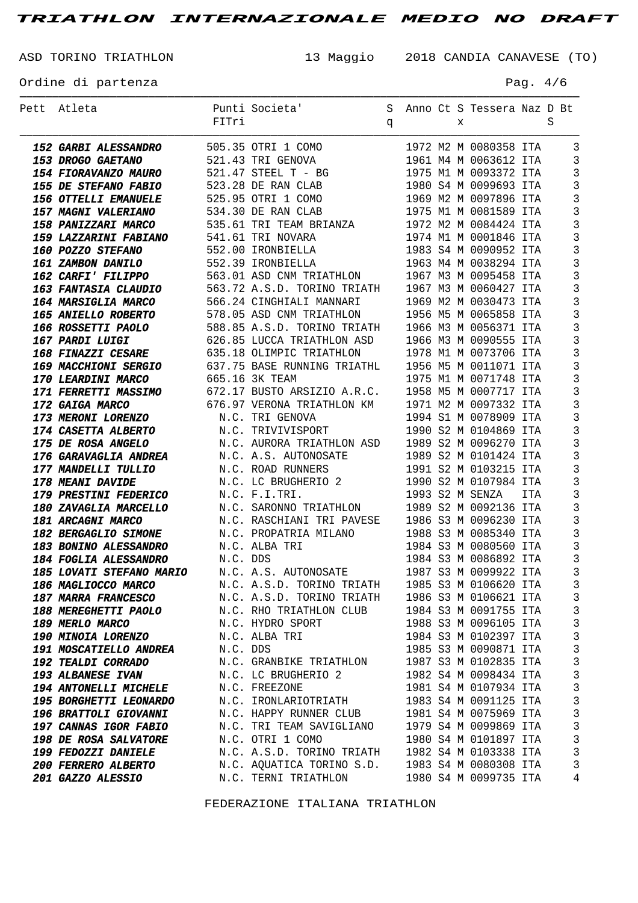ASD TORINO TRIATHLON 13 Maggio 2018 CANDIA CANAVESE (TO)

Ordine di partenza  $P$ ag. 4/6

| Pett Atleta                                       | FITri    | Punti Societa'                                                                                        | q |  | X | S Anno Ct S Tessera Naz D Bt                                       |     | S |                                  |
|---------------------------------------------------|----------|-------------------------------------------------------------------------------------------------------|---|--|---|--------------------------------------------------------------------|-----|---|----------------------------------|
|                                                   |          |                                                                                                       |   |  |   |                                                                    |     |   |                                  |
| <b>152 GARBI ALESSANDRO</b>                       |          | 505.35 OTRI 1 COMO                                                                                    |   |  |   | 1972 M2 M 0080358 ITA                                              |     |   | 3                                |
| 153 DROGO GAETANO                                 |          | 521.43 TRI GENOVA                                                                                     |   |  |   | 1961 M4 M 0063612 ITA                                              |     |   | $\overline{3}$                   |
| <b>154 FIORAVANZO MAURO</b>                       |          | 521.47 STEEL T - BG                                                                                   |   |  |   | 1975 M1 M 0093372 ITA                                              |     |   | $\overline{3}$                   |
| 155 DE STEFANO FABIO                              |          | 523.28 DE RAN CLAB                                                                                    |   |  |   | 1980 S4 M 0099693 ITA                                              |     |   | $\overline{3}$                   |
| 156 OTTELLI EMANUELE                              |          | 525.95 OTRI 1 COMO                                                                                    |   |  |   | 1969 M2 M 0097896 ITA                                              |     |   | $\overline{3}$                   |
| <b>157 MAGNI VALERIANO</b>                        |          | 534.30 DE RAN CLAB                                                                                    |   |  |   | 1975 M1 M 0081589 ITA                                              |     |   | $\overline{3}$                   |
| <b>158 PANIZZARI MARCO</b>                        |          | 535.61 TRI TEAM BRIANZA 1972 M2 M 0084424 ITA                                                         |   |  |   |                                                                    |     |   | $\overline{3}$                   |
| <b>159 LAZZARINI FABIANO</b>                      |          | 541.61 TRI NOVARA                                                                                     |   |  |   | 1974 M1 M 0001846 ITA                                              |     |   | $\overline{3}$                   |
| 160 POZZO STEFANO                                 |          | 552.00 IRONBIELLA                                                                                     |   |  |   | 1983 S4 M 0001846 ITA<br>1983 S4 M 0090952 ITA<br>1963 M4 M 000000 |     |   | $\overline{3}$                   |
| <b>161 ZAMBON DANILO</b>                          |          | 552.39 IRONBIELLA                                                                                     |   |  |   |                                                                    |     |   | $\overline{3}$                   |
| <b>162 CARFI' FILIPPO</b>                         |          | 563.01 ASD CNM TRIATHLON 1967 M3 M 0095458 ITA                                                        |   |  |   |                                                                    |     |   | $\mathbf{3}$                     |
| <b>163 FANTASIA CLAUDIO</b>                       |          | 563.72 A.S.D. TORINO TRIATH 1967 M3 M 0060427 ITA                                                     |   |  |   |                                                                    |     |   | $\overline{3}$                   |
| <b>164 MARSIGLIA MARCO</b>                        |          | 566.24 CINGHIALI MANNARI                                                                              |   |  |   | 1969 M2 M 0030473 ITA                                              |     |   | $\overline{3}$                   |
| <b>165 ANIELLO ROBERTO</b>                        |          | 578.05 ASD CNM TRIATHLON                                                                              |   |  |   | 1956 M5 M 0065858 ITA                                              |     |   | $\overline{3}$                   |
| <b>166 ROSSETTI PAOLO</b>                         |          | 588.85 A.S.D. TORINO TRIATH 1966 M3 M 0056371 ITA                                                     |   |  |   |                                                                    |     |   | $\overline{3}$                   |
| 167 PARDI LUIGI                                   |          | 626.85 LUCCA TRIATHLON ASD                                                                            |   |  |   | 1966 M3 M 0090555 ITA                                              |     |   | $\overline{3}$                   |
| <b>168 FINAZZI CESARE</b>                         |          | 635.18 OLIMPIC TRIATHLON                                                                              |   |  |   | 1978 M1 M 0073706 ITA                                              |     |   | $\overline{3}$                   |
| <b>169 MACCHIONI SERGIO</b>                       |          | 637.75 BASE RUNNING TRIATHL 1956 M5 M 0011071 ITA                                                     |   |  |   |                                                                    |     |   | $\overline{3}$                   |
| <b>170 LEARDINI MARCO</b>                         |          | 665.16 3K TEAM                                                                                        |   |  |   | 1975 M1 M 0071748 ITA                                              |     |   | $\overline{3}$                   |
| <b>171 FERRETTI MASSIMO</b>                       |          | 672.17 BUSTO ARSIZIO A.R.C. 1958 M5 M 0007717 ITA                                                     |   |  |   |                                                                    |     |   | $\overline{3}$                   |
| 172 GAIGA MARCO                                   |          | 676.97 VERONA TRIATHLON KM 1971 M2 M 0097332 ITA                                                      |   |  |   |                                                                    |     |   | $\overline{3}$                   |
| <b>173 MERONI LORENZO</b>                         |          | N.C. TRI GENOVA                                                                                       |   |  |   | 1994 S1 M 0078909 ITA                                              |     |   | $\overline{3}$                   |
| <b>174 CASETTA ALBERTO</b>                        |          | N.C. TRIVIVISPORT                                                                                     |   |  |   | 1990 S2 M 0104869 ITA                                              |     |   | $\overline{3}$                   |
| <b>175 DE ROSA ANGELO</b>                         |          | N.C. AURORA TRIATHLON ASD 1989 S2 M 0096270 ITA                                                       |   |  |   |                                                                    |     |   | $\overline{3}$                   |
| <b>176 GARAVAGLIA ANDREA</b>                      |          | N.C. A.S. AUTONOSATE 1989 S2 M 0101424 ITA                                                            |   |  |   |                                                                    |     |   | $\overline{3}$                   |
| <i>177 MANDELLI TULLIO</i>                        |          | N.C. ROAD RUNNERS<br>N.C. LC BRUGHERIO 2 1990 S2 M 0107984 ITA<br>N.C. F.T. TERT<br>N.C. ROAD RUNNERS |   |  |   |                                                                    |     |   | $\overline{3}$                   |
| 178 MEANI DAVIDE                                  |          |                                                                                                       |   |  |   |                                                                    |     |   | $\overline{3}$                   |
| <b>179 PRESTINI FEDERICO</b>                      |          | N.C. F.I.TRI.                                                                                         |   |  |   | 1993 S2 M SENZA                                                    | ITA |   | $\overline{3}$                   |
| <b>180 ZAVAGLIA MARCELLO</b>                      |          | N.C. SARONNO TRIATHLON                                                                                |   |  |   | 1989 S2 M 0092136 ITA                                              |     |   | $\overline{3}$                   |
| 181 ARCAGNI MARCO                                 |          | N.C. RASCHIANI TRI PAVESE 1986 S3 M 0096230 ITA                                                       |   |  |   |                                                                    |     |   | $\overline{3}$                   |
| <b>182 BERGAGLIO SIMONE</b>                       |          | N.C. PROPATRIA MILANO 1988 S3 M 0085340 ITA                                                           |   |  |   |                                                                    |     |   | $\overline{3}$                   |
| <b>183 BONINO ALESSANDRO</b>                      |          | N.C. ALBA TRI                                                                                         |   |  |   | 1984 S3 M 0080560 ITA                                              |     |   | $\overline{3}$                   |
| 184 FOGLIA ALESSANDRO<br>185 LOVATI STEFANO MARIO | N.C. DDS |                                                                                                       |   |  |   | 1984 S3 M 0086892 ITA                                              |     |   | $\overline{3}$                   |
| <b>186 MAGLIOCCO MARCO</b>                        |          | N.C. A.S. AUTONOSATE 1987 S3 M 0099922 ITA                                                            |   |  |   |                                                                    |     |   | $\overline{\mathbf{3}}$          |
| <b>187 MARRA FRANCESCO</b>                        |          | N.C. A.S.D. TORINO TRIATH 1985 S3 M 0106620 ITA                                                       |   |  |   |                                                                    |     |   | $\overline{3}$<br>$\overline{3}$ |
| <b>188 MEREGHETTI PAOLO</b>                       |          | N.C. A.S.D. TORINO TRIATH 1986 S3 M 0106621 ITA                                                       |   |  |   |                                                                    |     |   | $\overline{3}$                   |
| 189 MERLO MARCO                                   |          | N.C. RHO TRIATHLON CLUB 1984 S3 M 0091755 ITA<br>N.C. HYDRO SPORT                                     |   |  |   | 1988 S3 M 0096105 ITA                                              |     |   | $\mathbf{3}$                     |
| <b>190 MINOIA LORENZO</b>                         |          | N.C. ALBA TRI                                                                                         |   |  |   | 1984 S3 M 0102397 ITA                                              |     |   | $\overline{3}$                   |
| <b>191 MOSCATIELLO ANDREA</b>                     | N.C. DDS |                                                                                                       |   |  |   | 1985 S3 M 0090871 ITA                                              |     |   | $\overline{3}$                   |
| <b>192 TEALDI CORRADO</b>                         |          | N.C. GRANBIKE TRIATHLON 1987 S3 M 0102835 ITA                                                         |   |  |   |                                                                    |     |   | $\overline{3}$                   |
| <b>193 ALBANESE IVAN</b>                          |          | N.C. LC BRUGHERIO 2                                                                                   |   |  |   | 1982 S4 M 0098434 ITA                                              |     |   | $\overline{3}$                   |
| <b>194 ANTONELLI MICHELE</b>                      |          | N.C. FREEZONE                                                                                         |   |  |   | 1981 S4 M 0107934 ITA                                              |     |   | $\overline{3}$                   |
| <b>195 BORGHETTI LEONARDO</b>                     |          | N.C. IRONLARIOTRIATH                                                                                  |   |  |   | 1983 S4 M 0091125 ITA                                              |     |   | $\overline{3}$                   |
| <b>196 BRATTOLI GIOVANNI</b>                      |          | N.C. HAPPY RUNNER CLUB 1981 S4 M 0075969 ITA                                                          |   |  |   |                                                                    |     |   | $\mathbf{3}$                     |
| <b>197 CANNAS IGOR FABIO</b>                      |          | N.C. TRI TEAM SAVIGLIANO 1979 S4 M 0099869 ITA                                                        |   |  |   |                                                                    |     |   | $\mathbf{3}$                     |
| <b>198 DE ROSA SALVATORE</b>                      |          | N.C. OTRI 1 COMO                                                                                      |   |  |   | 1980 S4 M 0101897 ITA                                              |     |   | $\overline{3}$                   |
| <b>199 FEDOZZI DANIELE</b>                        |          | N.C. A.S.D. TORINO TRIATH 1982 S4 M 0103338 ITA                                                       |   |  |   |                                                                    |     |   | $\overline{3}$                   |
| <b>200 FERRERO ALBERTO</b>                        |          | N.C. AQUATICA TORINO S.D. 1983 S4 M 0080308 ITA                                                       |   |  |   |                                                                    |     |   | $\mathbf{3}$                     |
| <b>201 GAZZO ALESSIO</b>                          |          | N.C. TERNI TRIATHLON                                                                                  |   |  |   | 1980 S4 M 0099735 ITA                                              |     |   | $\overline{4}$                   |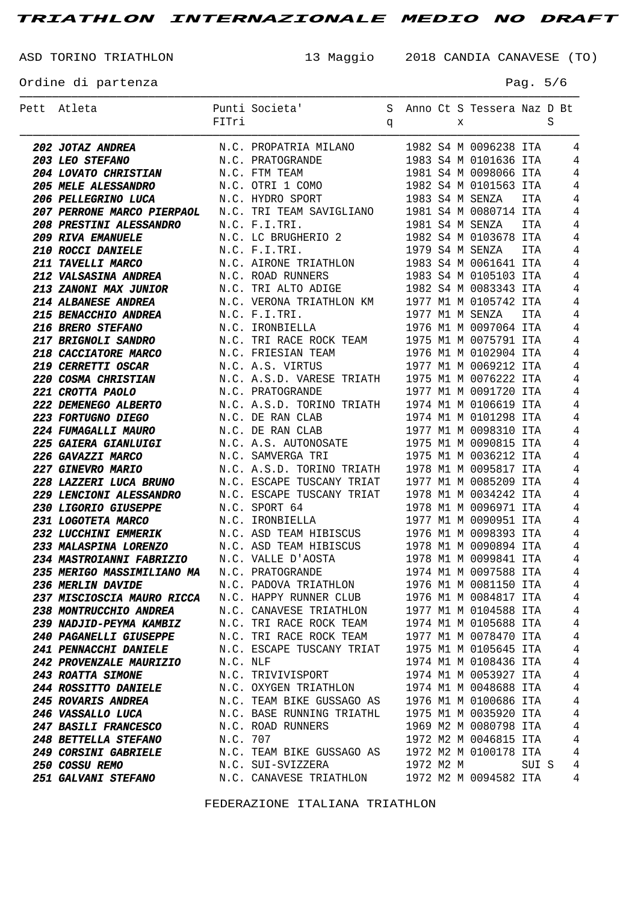ASD TORINO TRIATHLON 13 Maggio 2018 CANDIA CANAVESE (TO)

Ordine di partenza  $P = 5/6$ 

| Pett Atleta                                                             |          | Punti Societa'                                                                                                                                    |   |  |   | S Anno Ct S Tessera Naz D Bt |       |   |                |
|-------------------------------------------------------------------------|----------|---------------------------------------------------------------------------------------------------------------------------------------------------|---|--|---|------------------------------|-------|---|----------------|
|                                                                         | FITri    |                                                                                                                                                   | q |  | X |                              |       | S |                |
|                                                                         |          |                                                                                                                                                   |   |  |   |                              |       |   |                |
| 202 JOTAZ ANDREA                                                        |          | N.C. PROPATRIA MILANO 1982 S4 M 0096238 ITA                                                                                                       |   |  |   | 1983 S4 M 0101636 ITA        |       |   | 4              |
| <b>203 LEO STEFANO</b>                                                  |          | N.C. PRATOGRANDE                                                                                                                                  |   |  |   |                              |       |   | 4              |
| <b>204 LOVATO CHRISTIAN</b>                                             |          | N.C. FTM TEAM                                                                                                                                     |   |  |   | 1981 S4 M 0098066 ITA        |       |   | 4              |
| <b>205 MELE ALESSANDRO</b>                                              |          | N.C. OTRI 1 COMO                                                                                                                                  |   |  |   | 1982 S4 M 0101563 ITA        |       |   | 4              |
| <b>206 PELLEGRINO LUCA</b>                                              |          | N.C. HYDRO SPORT                                                                                                                                  |   |  |   | 1983 S4 M SENZA              | ITA   |   | 4              |
| <b>207 PERRONE MARCO PIERPAOL</b>                                       |          | N.C. TRI TEAM SAVIGLIANO 1981 S4 M 0080714 ITA                                                                                                    |   |  |   |                              |       |   | 4              |
| <i><b>208 PRESTINI ALESSANDRO</b></i>                                   |          | N.C. F.I.TRI.                                                                                                                                     |   |  |   | 1981 S4 M SENZA              | ITA   |   | 4              |
| <b>209 RIVA EMANUELE</b>                                                |          | N.C. LC BRUGHERIO 2                                                                                                                               |   |  |   | 1982 S4 M 0103678 ITA        |       |   | $\overline{4}$ |
| <b>210 ROCCI DANIELE</b>                                                |          | N.C. F.I.TRI.                                                                                                                                     |   |  |   | 1979 S4 M SENZA              | ITA   |   | 4              |
| <i><b>211 TAVELLI MARCO</b></i>                                         |          | N.C. AIRONE TRIATHLON 1983 S4 M 0061641 ITA                                                                                                       |   |  |   |                              |       |   | 4              |
| <b>212 VALSASINA ANDREA</b>                                             |          | N.C. ROAD RUNNERS                                                                                                                                 |   |  |   | 1983 S4 M 0105103 ITA        |       |   | 4              |
| <b>213 ZANONI MAX JUNIOR</b>                                            |          | N.C. TRI ALTO ADIGE                                                                                                                               |   |  |   | 1982 S4 M 0083343 ITA        |       |   | 4              |
| <b>214 ALBANESE ANDREA</b>                                              |          | N.C. VERONA TRIATHLON KM 1977 M1 M 0105742 ITA                                                                                                    |   |  |   |                              |       |   | 4              |
| <b>215 BENACCHIO ANDREA</b>                                             |          | N.C. F.I.TRI.                                                                                                                                     |   |  |   | 1977 M1 M SENZA              | ITA   |   | 4              |
| 216 BRERO STEFANO                                                       |          | N.C. IRONBIELLA                                                                                                                                   |   |  |   | 1976 M1 M 0097064 ITA        |       |   | 4              |
| <b>217 BRIGNOLI SANDRO</b>                                              |          | N.C. TRI RACE ROCK TEAM 1975 M1 M 0075791 ITA                                                                                                     |   |  |   |                              |       |   | 4              |
| <b>218 CACCIATORE MARCO</b>                                             |          | N.C. FRIESIAN TEAM                   1976 M1 M 0102904 ITA<br>N.C. A.S. VIRTUS                1977 M1 M 0069212 ITA                               |   |  |   |                              |       |   | 4              |
| <i><b>219 CERRETTI OSCAR</b></i>                                        |          |                                                                                                                                                   |   |  |   |                              |       |   | 4              |
| <b>220 COSMA CHRISTIAN</b>                                              |          | N.C. A.S.D. VARESE TRIATH 1975 M1 M 0076222 ITA                                                                                                   |   |  |   |                              |       |   | 4              |
| 221 CROTTA PAOLO                                                        |          | N.C. PRATOGRANDE                                                                                                                                  |   |  |   | 1977 M1 M 0091720 ITA        |       |   | 4              |
| <b>222 DEMENEGO ALBERTO</b>                                             |          | N.C. A.S.D. TORINO TRIATH 1974 M1 M 0106619 ITA                                                                                                   |   |  |   |                              |       |   | 4              |
| <b>223 FORTUGNO DIEGO</b>                                               |          | N.C. DE RAN CLAB                                                                                                                                  |   |  |   | 1974 M1 M 0101298 ITA        |       |   | 4              |
| <b>224 FUMAGALLI MAURO</b>                                              |          | N.C. DE RAN CLAB                                                                                                                                  |   |  |   | 1977 M1 M 0098310 ITA        |       |   | 4              |
| <b>225 GAIERA GIANLUIGI</b>                                             |          | N.C. A.S. AUTONOSATE 1975 M1 M 0090815 ITA                                                                                                        |   |  |   |                              |       |   | 4              |
| 226 GAVAZZI MARCO                                                       |          | N.C. SAMVERGA TRI                                                                                                                                 |   |  |   | 1975 M1 M 0036212 ITA        |       |   | 4              |
| <b>227 GINEVRO MARIO</b>                                                |          | N.C. A.S.D. TORINO TRIATH 1978 M1 M 0095817 ITA                                                                                                   |   |  |   |                              |       |   | 4              |
| <b>228 LAZZERI LUCA BRUNO</b>                                           |          | N.C. ESCAPE TUSCANY TRIAT 1977 M1 M 0085209 ITA                                                                                                   |   |  |   |                              |       |   | 4              |
| <b>229 LENCIONI ALESSANDRO</b>                                          |          | N.C. ESCAPE TUSCANY TRIAT 1978 M1 M 0034242 ITA                                                                                                   |   |  |   |                              |       |   | 4              |
| <i><b>230 LIGORIO GIUSEPPE</b></i>                                      |          | N.C. SPORT 64                                                                                                                                     |   |  |   | 1978 M1 M 0096971 ITA        |       |   | 4              |
| <i><b>231 LOGOTETA MARCO</b></i>                                        |          | N.C. IRONBIELLA                                                                                                                                   |   |  |   | 1977 M1 M 0090951 ITA        |       |   | 4              |
| <b>232 LUCCHINI EMMERIK</b>                                             |          | N.C. ASD TEAM HIBISCUS 1976 M1 M 0098393 ITA                                                                                                      |   |  |   |                              |       |   | 4              |
| 233 MALASPINA LORENZO N.C. ASD TEAM HIBISCUS 1978 M1 M 0090894 ITA      |          |                                                                                                                                                   |   |  |   |                              |       |   | 4              |
| <b>234 MASTROIANNI FABRIZIO</b>                                         |          | N.C. VALLE D'AOSTA                                                                                                                                |   |  |   | 1978 M1 M 0099841 ITA        |       |   | $\overline{4}$ |
| 235 MERIGO MASSIMILIANO MA N.C. PRATOGRANDE                             |          |                                                                                                                                                   |   |  |   | 1974 M1 M 0097588 ITA        |       |   | $\overline{4}$ |
| 236 MERLIN DAVIDE                                                       |          | N.C. PADOVA TRIATHLON                                                                                                                             |   |  |   | 1976 M1 M 0081150 ITA        |       |   | $\overline{4}$ |
| 237 MISCIOSCIA MAURO RICCA N.C. HAPPY RUNNER CLUB 1976 M1 M 0084817 ITA |          |                                                                                                                                                   |   |  |   |                              |       |   | $\overline{4}$ |
| <b>238 MONTRUCCHIO ANDREA</b>                                           |          | N.C. CANAVESE TRIATHLON 1977 M1 M 0104588 ITA                                                                                                     |   |  |   |                              |       |   | $\overline{4}$ |
| 239 NADJID-PEYMA KAMBIZ                                                 |          | N.C. TRI RACE ROCK TEAM 1974 M1 M 0105688 ITA                                                                                                     |   |  |   |                              |       |   | $\overline{4}$ |
| <b>240 PAGANELLI GIUSEPPE</b>                                           |          |                                                                                                                                                   |   |  |   |                              |       |   | $\overline{4}$ |
| <b>241 PENNACCHI DANIELE</b>                                            |          | N.C. TRI RACE ROCK TEAM 1977 M1 M 0078470 ITA<br>N.C. ESCAPE TUSCANY TRIAT 1975 M1 M 0105645 ITA                                                  |   |  |   |                              |       |   | $\overline{4}$ |
| <b>242 PROVENZALE MAURIZIO</b>                                          | N.C. NLF |                                                                                                                                                   |   |  |   | 1974 M1 M 0108436 ITA        |       |   | $\overline{4}$ |
| <b>243 ROATTA SIMONE</b>                                                |          | N.C. TRIVIVISPORT                                                                                                                                 |   |  |   | 1974 M1 M 0053927 ITA        |       |   | $\overline{4}$ |
| <b>244 ROSSITTO DANIELE</b>                                             |          | N.C. OXYGEN TRIATHLON 1974 M1 M 0048688 ITA<br>N.C. TEAM BIKE GUSSAGO AS 1976 M1 M 0100686 ITA<br>N.C. BASE RUNNING TRIATHL 1975 M1 M 0035920 ITA |   |  |   |                              |       |   | $\overline{4}$ |
| <b>245 ROVARIS ANDREA</b>                                               |          |                                                                                                                                                   |   |  |   |                              |       |   | $\overline{4}$ |
| <i><b>246 VASSALLO LUCA</b></i>                                         |          |                                                                                                                                                   |   |  |   |                              |       |   | $\overline{4}$ |
| <b>247 BASILI FRANCESCO</b>                                             |          | N.C. ROAD RUNNERS                                                                                                                                 |   |  |   | 1969 M2 M 0080798 ITA        |       |   | $\overline{4}$ |
| <b>248 BETTELLA STEFANO</b>                                             | N.C. 707 |                                                                                                                                                   |   |  |   | 1972 M2 M 0046815 ITA        |       |   | $\overline{4}$ |
| <b>249 CORSINI GABRIELE</b>                                             |          | N.C. TEAM BIKE GUSSAGO AS 1972 M2 M 0100178 ITA                                                                                                   |   |  |   |                              |       |   | $\overline{4}$ |
| 250 COSSU REMO                                                          |          | N.C. SUI-SVIZZERA                                                                                                                                 |   |  |   | 1972 M2 M                    | SUI S |   | $\overline{4}$ |
| <b>251 GALVANI STEFANO</b>                                              |          | N.C. CANAVESE TRIATHLON 1972 M2 M 0094582 ITA                                                                                                     |   |  |   |                              |       |   | $\overline{4}$ |
|                                                                         |          |                                                                                                                                                   |   |  |   |                              |       |   |                |